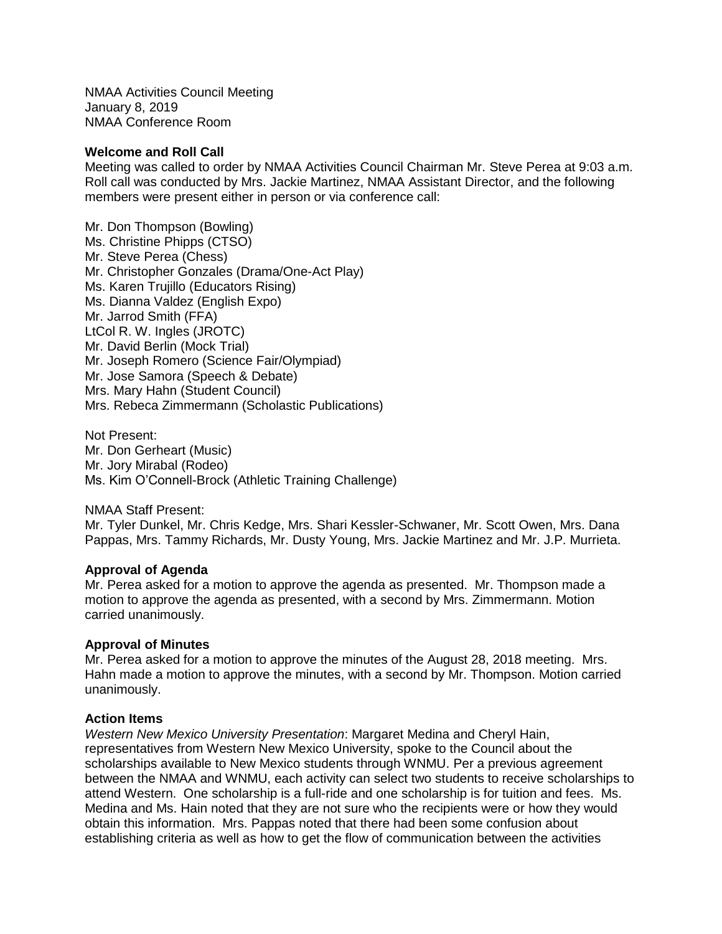NMAA Activities Council Meeting January 8, 2019 NMAA Conference Room

### **Welcome and Roll Call**

Meeting was called to order by NMAA Activities Council Chairman Mr. Steve Perea at 9:03 a.m. Roll call was conducted by Mrs. Jackie Martinez, NMAA Assistant Director, and the following members were present either in person or via conference call:

Mr. Don Thompson (Bowling) Ms. Christine Phipps (CTSO) Mr. Steve Perea (Chess) Mr. Christopher Gonzales (Drama/One-Act Play) Ms. Karen Trujillo (Educators Rising) Ms. Dianna Valdez (English Expo) Mr. Jarrod Smith (FFA) LtCol R. W. Ingles (JROTC) Mr. David Berlin (Mock Trial) Mr. Joseph Romero (Science Fair/Olympiad) Mr. Jose Samora (Speech & Debate) Mrs. Mary Hahn (Student Council) Mrs. Rebeca Zimmermann (Scholastic Publications)

Not Present: Mr. Don Gerheart (Music) Mr. Jory Mirabal (Rodeo) Ms. Kim O'Connell-Brock (Athletic Training Challenge)

NMAA Staff Present:

Mr. Tyler Dunkel, Mr. Chris Kedge, Mrs. Shari Kessler-Schwaner, Mr. Scott Owen, Mrs. Dana Pappas, Mrs. Tammy Richards, Mr. Dusty Young, Mrs. Jackie Martinez and Mr. J.P. Murrieta.

#### **Approval of Agenda**

Mr. Perea asked for a motion to approve the agenda as presented. Mr. Thompson made a motion to approve the agenda as presented, with a second by Mrs. Zimmermann. Motion carried unanimously.

## **Approval of Minutes**

Mr. Perea asked for a motion to approve the minutes of the August 28, 2018 meeting. Mrs. Hahn made a motion to approve the minutes, with a second by Mr. Thompson. Motion carried unanimously.

#### **Action Items**

*Western New Mexico University Presentation*: Margaret Medina and Cheryl Hain, representatives from Western New Mexico University, spoke to the Council about the scholarships available to New Mexico students through WNMU. Per a previous agreement between the NMAA and WNMU, each activity can select two students to receive scholarships to attend Western. One scholarship is a full-ride and one scholarship is for tuition and fees. Ms. Medina and Ms. Hain noted that they are not sure who the recipients were or how they would obtain this information. Mrs. Pappas noted that there had been some confusion about establishing criteria as well as how to get the flow of communication between the activities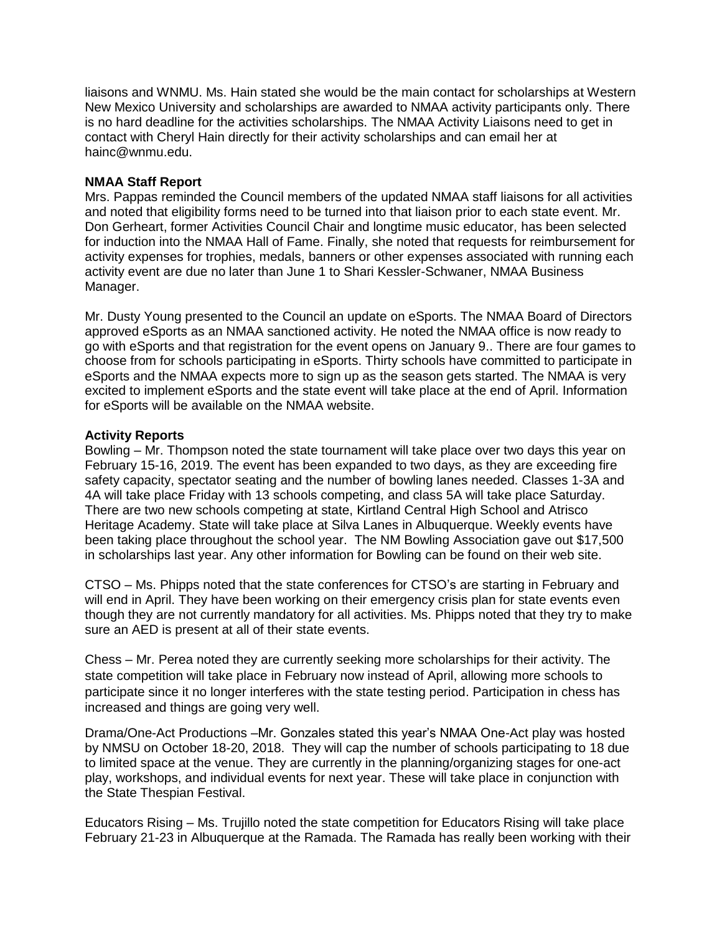liaisons and WNMU. Ms. Hain stated she would be the main contact for scholarships at Western New Mexico University and scholarships are awarded to NMAA activity participants only. There is no hard deadline for the activities scholarships. The NMAA Activity Liaisons need to get in contact with Cheryl Hain directly for their activity scholarships and can email her at hainc@wnmu.edu.

# **NMAA Staff Report**

Mrs. Pappas reminded the Council members of the updated NMAA staff liaisons for all activities and noted that eligibility forms need to be turned into that liaison prior to each state event. Mr. Don Gerheart, former Activities Council Chair and longtime music educator, has been selected for induction into the NMAA Hall of Fame. Finally, she noted that requests for reimbursement for activity expenses for trophies, medals, banners or other expenses associated with running each activity event are due no later than June 1 to Shari Kessler-Schwaner, NMAA Business Manager.

Mr. Dusty Young presented to the Council an update on eSports. The NMAA Board of Directors approved eSports as an NMAA sanctioned activity. He noted the NMAA office is now ready to go with eSports and that registration for the event opens on January 9.. There are four games to choose from for schools participating in eSports. Thirty schools have committed to participate in eSports and the NMAA expects more to sign up as the season gets started. The NMAA is very excited to implement eSports and the state event will take place at the end of April. Information for eSports will be available on the NMAA website.

# **Activity Reports**

Bowling – Mr. Thompson noted the state tournament will take place over two days this year on February 15-16, 2019. The event has been expanded to two days, as they are exceeding fire safety capacity, spectator seating and the number of bowling lanes needed. Classes 1-3A and 4A will take place Friday with 13 schools competing, and class 5A will take place Saturday. There are two new schools competing at state, Kirtland Central High School and Atrisco Heritage Academy. State will take place at Silva Lanes in Albuquerque. Weekly events have been taking place throughout the school year. The NM Bowling Association gave out \$17,500 in scholarships last year. Any other information for Bowling can be found on their web site.

CTSO – Ms. Phipps noted that the state conferences for CTSO's are starting in February and will end in April. They have been working on their emergency crisis plan for state events even though they are not currently mandatory for all activities. Ms. Phipps noted that they try to make sure an AED is present at all of their state events.

Chess – Mr. Perea noted they are currently seeking more scholarships for their activity. The state competition will take place in February now instead of April, allowing more schools to participate since it no longer interferes with the state testing period. Participation in chess has increased and things are going very well.

Drama/One-Act Productions –Mr. Gonzales stated this year's NMAA One-Act play was hosted by NMSU on October 18-20, 2018. They will cap the number of schools participating to 18 due to limited space at the venue. They are currently in the planning/organizing stages for one-act play, workshops, and individual events for next year. These will take place in conjunction with the State Thespian Festival.

Educators Rising – Ms. Trujillo noted the state competition for Educators Rising will take place February 21-23 in Albuquerque at the Ramada. The Ramada has really been working with their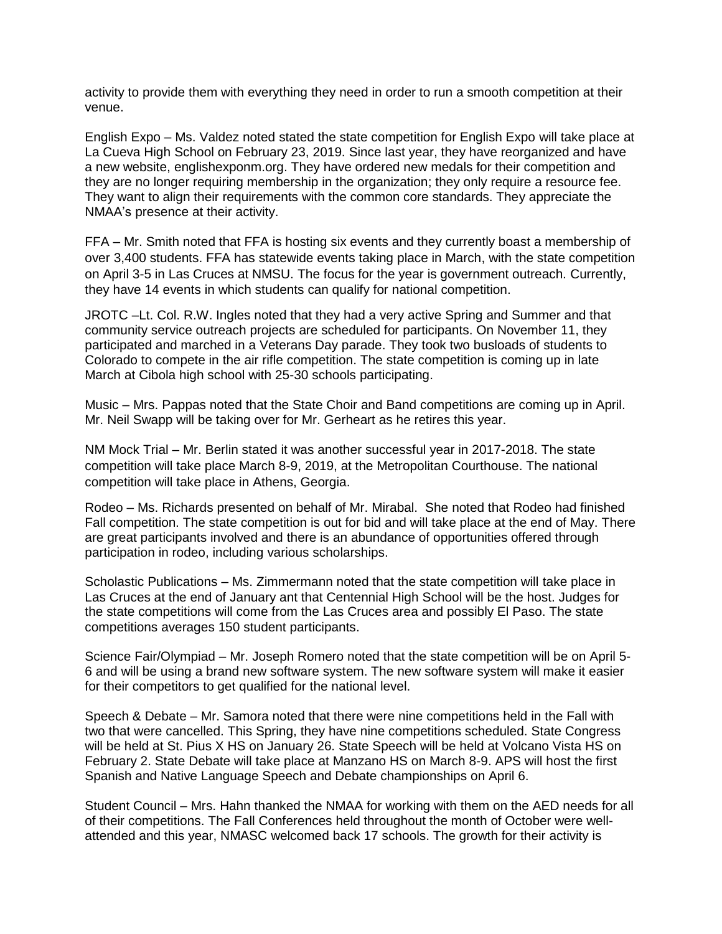activity to provide them with everything they need in order to run a smooth competition at their venue.

English Expo – Ms. Valdez noted stated the state competition for English Expo will take place at La Cueva High School on February 23, 2019. Since last year, they have reorganized and have a new website, englishexponm.org. They have ordered new medals for their competition and they are no longer requiring membership in the organization; they only require a resource fee. They want to align their requirements with the common core standards. They appreciate the NMAA's presence at their activity.

FFA – Mr. Smith noted that FFA is hosting six events and they currently boast a membership of over 3,400 students. FFA has statewide events taking place in March, with the state competition on April 3-5 in Las Cruces at NMSU. The focus for the year is government outreach. Currently, they have 14 events in which students can qualify for national competition.

JROTC –Lt. Col. R.W. Ingles noted that they had a very active Spring and Summer and that community service outreach projects are scheduled for participants. On November 11, they participated and marched in a Veterans Day parade. They took two busloads of students to Colorado to compete in the air rifle competition. The state competition is coming up in late March at Cibola high school with 25-30 schools participating.

Music – Mrs. Pappas noted that the State Choir and Band competitions are coming up in April. Mr. Neil Swapp will be taking over for Mr. Gerheart as he retires this year.

NM Mock Trial – Mr. Berlin stated it was another successful year in 2017-2018. The state competition will take place March 8-9, 2019, at the Metropolitan Courthouse. The national competition will take place in Athens, Georgia.

Rodeo – Ms. Richards presented on behalf of Mr. Mirabal. She noted that Rodeo had finished Fall competition. The state competition is out for bid and will take place at the end of May. There are great participants involved and there is an abundance of opportunities offered through participation in rodeo, including various scholarships.

Scholastic Publications – Ms. Zimmermann noted that the state competition will take place in Las Cruces at the end of January ant that Centennial High School will be the host. Judges for the state competitions will come from the Las Cruces area and possibly El Paso. The state competitions averages 150 student participants.

Science Fair/Olympiad – Mr. Joseph Romero noted that the state competition will be on April 5- 6 and will be using a brand new software system. The new software system will make it easier for their competitors to get qualified for the national level.

Speech & Debate – Mr. Samora noted that there were nine competitions held in the Fall with two that were cancelled. This Spring, they have nine competitions scheduled. State Congress will be held at St. Pius X HS on January 26. State Speech will be held at Volcano Vista HS on February 2. State Debate will take place at Manzano HS on March 8-9. APS will host the first Spanish and Native Language Speech and Debate championships on April 6.

Student Council – Mrs. Hahn thanked the NMAA for working with them on the AED needs for all of their competitions. The Fall Conferences held throughout the month of October were wellattended and this year, NMASC welcomed back 17 schools. The growth for their activity is